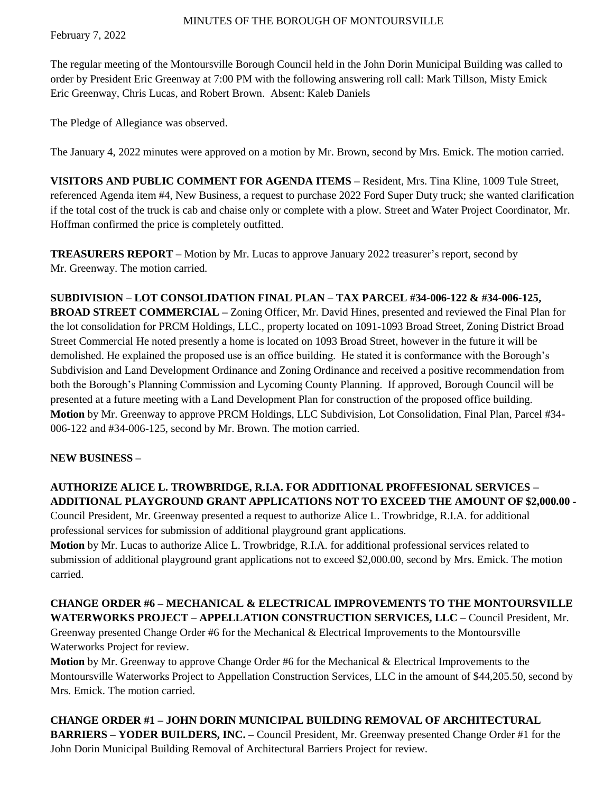February 7, 2022

The regular meeting of the Montoursville Borough Council held in the John Dorin Municipal Building was called to order by President Eric Greenway at 7:00 PM with the following answering roll call: Mark Tillson, Misty Emick Eric Greenway, Chris Lucas, and Robert Brown. Absent: Kaleb Daniels

The Pledge of Allegiance was observed.

The January 4, 2022 minutes were approved on a motion by Mr. Brown, second by Mrs. Emick. The motion carried.

**VISITORS AND PUBLIC COMMENT FOR AGENDA ITEMS –** Resident, Mrs. Tina Kline, 1009 Tule Street, referenced Agenda item #4, New Business, a request to purchase 2022 Ford Super Duty truck; she wanted clarification if the total cost of the truck is cab and chaise only or complete with a plow. Street and Water Project Coordinator, Mr. Hoffman confirmed the price is completely outfitted.

**TREASURERS REPORT –** Motion by Mr. Lucas to approve January 2022 treasurer's report, second by Mr. Greenway. The motion carried.

**SUBDIVISION – LOT CONSOLIDATION FINAL PLAN – TAX PARCEL #34-006-122 & #34-006-125, BROAD STREET COMMERCIAL –** Zoning Officer, Mr. David Hines, presented and reviewed the Final Plan for the lot consolidation for PRCM Holdings, LLC., property located on 1091-1093 Broad Street, Zoning District Broad Street Commercial He noted presently a home is located on 1093 Broad Street, however in the future it will be demolished. He explained the proposed use is an office building. He stated it is conformance with the Borough's Subdivision and Land Development Ordinance and Zoning Ordinance and received a positive recommendation from both the Borough's Planning Commission and Lycoming County Planning. If approved, Borough Council will be presented at a future meeting with a Land Development Plan for construction of the proposed office building. **Motion** by Mr. Greenway to approve PRCM Holdings, LLC Subdivision, Lot Consolidation, Final Plan, Parcel #34- 006-122 and #34-006-125, second by Mr. Brown. The motion carried.

### **NEW BUSINESS –**

**AUTHORIZE ALICE L. TROWBRIDGE, R.I.A. FOR ADDITIONAL PROFFESIONAL SERVICES – ADDITIONAL PLAYGROUND GRANT APPLICATIONS NOT TO EXCEED THE AMOUNT OF \$2,000.00 -**

Council President, Mr. Greenway presented a request to authorize Alice L. Trowbridge, R.I.A. for additional professional services for submission of additional playground grant applications.

**Motion** by Mr. Lucas to authorize Alice L. Trowbridge, R.I.A. for additional professional services related to submission of additional playground grant applications not to exceed \$2,000.00, second by Mrs. Emick. The motion carried.

# **CHANGE ORDER #6 – MECHANICAL & ELECTRICAL IMPROVEMENTS TO THE MONTOURSVILLE WATERWORKS PROJECT – APPELLATION CONSTRUCTION SERVICES, LLC –** Council President, Mr.

Greenway presented Change Order #6 for the Mechanical & Electrical Improvements to the Montoursville Waterworks Project for review.

**Motion** by Mr. Greenway to approve Change Order #6 for the Mechanical & Electrical Improvements to the Montoursville Waterworks Project to Appellation Construction Services, LLC in the amount of \$44,205.50, second by Mrs. Emick. The motion carried.

**CHANGE ORDER #1 – JOHN DORIN MUNICIPAL BUILDING REMOVAL OF ARCHITECTURAL BARRIERS – YODER BUILDERS, INC. –** Council President, Mr. Greenway presented Change Order #1 for the John Dorin Municipal Building Removal of Architectural Barriers Project for review.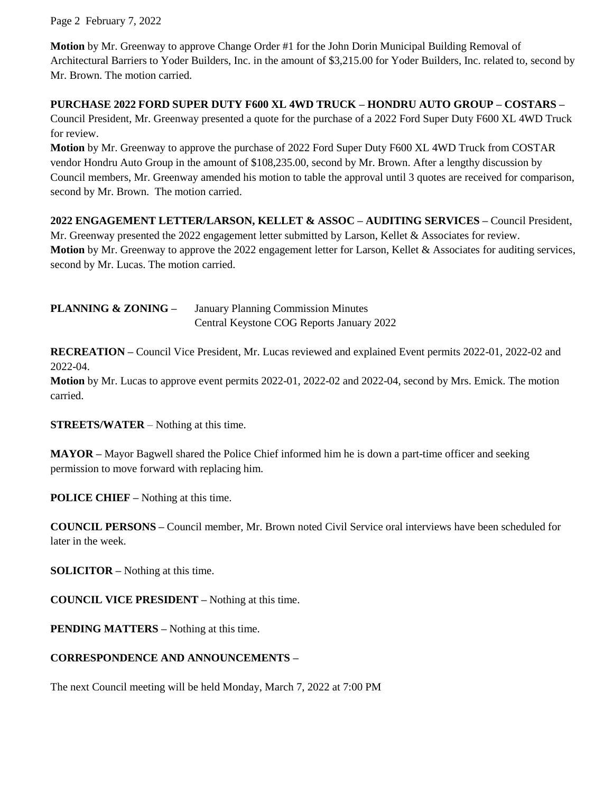Page 2 February 7, 2022

**Motion** by Mr. Greenway to approve Change Order #1 for the John Dorin Municipal Building Removal of Architectural Barriers to Yoder Builders, Inc. in the amount of \$3,215.00 for Yoder Builders, Inc. related to, second by Mr. Brown. The motion carried.

### **PURCHASE 2022 FORD SUPER DUTY F600 XL 4WD TRUCK – HONDRU AUTO GROUP – COSTARS –**

Council President, Mr. Greenway presented a quote for the purchase of a 2022 Ford Super Duty F600 XL 4WD Truck for review.

**Motion** by Mr. Greenway to approve the purchase of 2022 Ford Super Duty F600 XL 4WD Truck from COSTAR vendor Hondru Auto Group in the amount of \$108,235.00, second by Mr. Brown. After a lengthy discussion by Council members, Mr. Greenway amended his motion to table the approval until 3 quotes are received for comparison, second by Mr. Brown. The motion carried.

**2022 ENGAGEMENT LETTER/LARSON, KELLET & ASSOC – AUDITING SERVICES –** Council President, Mr. Greenway presented the 2022 engagement letter submitted by Larson, Kellet & Associates for review. **Motion** by Mr. Greenway to approve the 2022 engagement letter for Larson, Kellet & Associates for auditing services, second by Mr. Lucas. The motion carried.

**PLANNING & ZONING –** January Planning Commission Minutes Central Keystone COG Reports January 2022

**RECREATION –** Council Vice President, Mr. Lucas reviewed and explained Event permits 2022-01, 2022-02 and 2022-04.

**Motion** by Mr. Lucas to approve event permits 2022-01, 2022-02 and 2022-04, second by Mrs. Emick. The motion carried.

**STREETS/WATER** – Nothing at this time.

**MAYOR –** Mayor Bagwell shared the Police Chief informed him he is down a part-time officer and seeking permission to move forward with replacing him.

**POLICE CHIEF –** Nothing at this time.

**COUNCIL PERSONS –** Council member, Mr. Brown noted Civil Service oral interviews have been scheduled for later in the week.

**SOLICITOR –** Nothing at this time.

**COUNCIL VICE PRESIDENT –** Nothing at this time.

**PENDING MATTERS –** Nothing at this time.

### **CORRESPONDENCE AND ANNOUNCEMENTS –**

The next Council meeting will be held Monday, March 7, 2022 at 7:00 PM